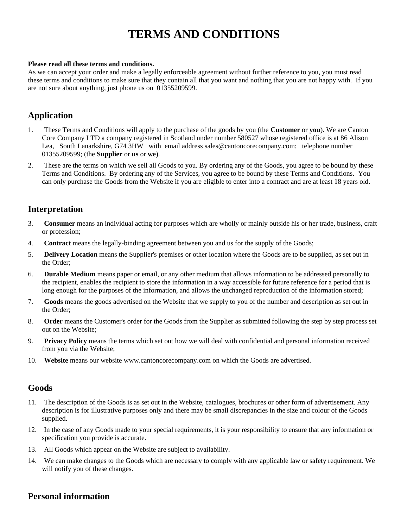# **TERMS AND CONDITIONS**

#### **Please read all these terms and conditions.**

As we can accept your order and make a legally enforceable agreement without further reference to you, you must read these terms and conditions to make sure that they contain all that you want and nothing that you are not happy with. If you are not sure about anything, just phone us on 01355209599.

# **Application**

- 1. These Terms and Conditions will apply to the purchase of the goods by you (the **Customer** or **you**). We are Canton Core Company LTD a company registered in Scotland under number 580527 whose registered office is at 86 Alison Lea, South Lanarkshire, G74 3HW with email address sales@cantoncorecompany.com; telephone number 01355209599; (the **Supplier** or **us** or **we**).
- 2. These are the terms on which we sell all Goods to you. By ordering any of the Goods, you agree to be bound by these Terms and Conditions. By ordering any of the Services, you agree to be bound by these Terms and Conditions. You can only purchase the Goods from the Website if you are eligible to enter into a contract and are at least 18 years old.

# **Interpretation**

- 3. **Consumer** means an individual acting for purposes which are wholly or mainly outside his or her trade, business, craft or profession;
- 4. **Contract** means the legally-binding agreement between you and us for the supply of the Goods;
- 5. **Delivery Location** means the Supplier's premises or other location where the Goods are to be supplied, as set out in the Order;
- 6. **Durable Medium** means paper or email, or any other medium that allows information to be addressed personally to the recipient, enables the recipient to store the information in a way accessible for future reference for a period that is long enough for the purposes of the information, and allows the unchanged reproduction of the information stored;
- 7. **Goods** means the goods advertised on the Website that we supply to you of the number and description as set out in the Order;
- 8. **Order** means the Customer's order for the Goods from the Supplier as submitted following the step by step process set out on the Website;
- 9. **Privacy Policy** means the terms which set out how we will deal with confidential and personal information received from you via the Website;
- 10. **Website** means our website www.cantoncorecompany.com on which the Goods are advertised.

### **Goods**

- 11. The description of the Goods is as set out in the Website, catalogues, brochures or other form of advertisement. Any description is for illustrative purposes only and there may be small discrepancies in the size and colour of the Goods supplied.
- 12. In the case of any Goods made to your special requirements, it is your responsibility to ensure that any information or specification you provide is accurate.
- 13. All Goods which appear on the Website are subject to availability.
- 14. We can make changes to the Goods which are necessary to comply with any applicable law or safety requirement. We will notify you of these changes.

# **Personal information**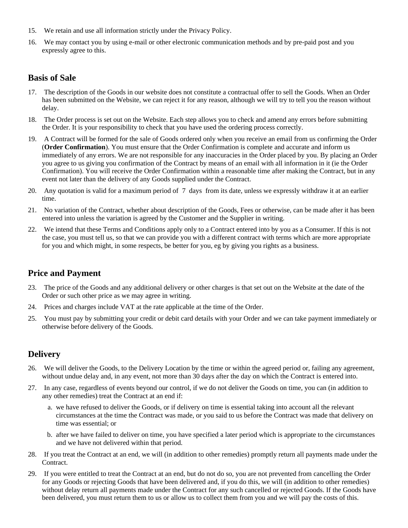- 15. We retain and use all information strictly under the Privacy Policy.
- 16. We may contact you by using e-mail or other electronic communication methods and by pre-paid post and you expressly agree to this.

# **Basis of Sale**

- 17. The description of the Goods in our website does not constitute a contractual offer to sell the Goods. When an Order has been submitted on the Website, we can reject it for any reason, although we will try to tell you the reason without delay.
- 18. The Order process is set out on the Website. Each step allows you to check and amend any errors before submitting the Order. It is your responsibility to check that you have used the ordering process correctly.
- 19. A Contract will be formed for the sale of Goods ordered only when you receive an email from us confirming the Order (**Order Confirmation**). You must ensure that the Order Confirmation is complete and accurate and inform us immediately of any errors. We are not responsible for any inaccuracies in the Order placed by you. By placing an Order you agree to us giving you confirmation of the Contract by means of an email with all information in it (ie the Order Confirmation). You will receive the Order Confirmation within a reasonable time after making the Contract, but in any event not later than the delivery of any Goods supplied under the Contract.
- 20. Any quotation is valid for a maximum period of 7 days from its date, unless we expressly withdraw it at an earlier time.
- 21. No variation of the Contract, whether about description of the Goods, Fees or otherwise, can be made after it has been entered into unless the variation is agreed by the Customer and the Supplier in writing.
- 22. We intend that these Terms and Conditions apply only to a Contract entered into by you as a Consumer. If this is not the case, you must tell us, so that we can provide you with a different contract with terms which are more appropriate for you and which might, in some respects, be better for you, eg by giving you rights as a business.

### **Price and Payment**

- 23. The price of the Goods and any additional delivery or other charges is that set out on the Website at the date of the Order or such other price as we may agree in writing.
- 24. Prices and charges include VAT at the rate applicable at the time of the Order.
- 25. You must pay by submitting your credit or debit card details with your Order and we can take payment immediately or otherwise before delivery of the Goods.

# **Delivery**

- 26. We will deliver the Goods, to the Delivery Location by the time or within the agreed period or, failing any agreement, without undue delay and, in any event, not more than 30 days after the day on which the Contract is entered into.
- 27. In any case, regardless of events beyond our control, if we do not deliver the Goods on time, you can (in addition to any other remedies) treat the Contract at an end if:
	- a. we have refused to deliver the Goods, or if delivery on time is essential taking into account all the relevant circumstances at the time the Contract was made, or you said to us before the Contract was made that delivery on time was essential; or
	- b. after we have failed to deliver on time, you have specified a later period which is appropriate to the circumstances and we have not delivered within that period.
- 28. If you treat the Contract at an end, we will (in addition to other remedies) promptly return all payments made under the Contract.
- 29. If you were entitled to treat the Contract at an end, but do not do so, you are not prevented from cancelling the Order for any Goods or rejecting Goods that have been delivered and, if you do this, we will (in addition to other remedies) without delay return all payments made under the Contract for any such cancelled or rejected Goods. If the Goods have been delivered, you must return them to us or allow us to collect them from you and we will pay the costs of this.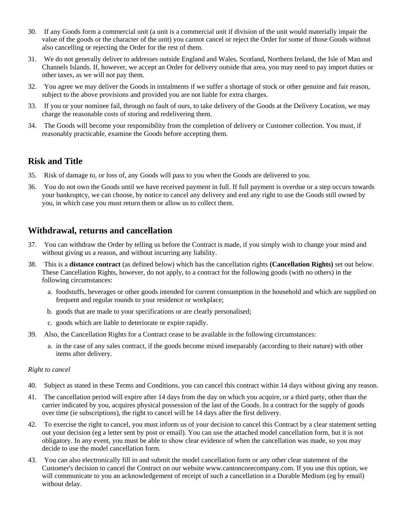- 30. If any Goods form a commercial unit (a unit is a commercial unit if division of the unit would materially impair the value of the goods or the character of the unit) you cannot cancel or reject the Order for some of those Goods without also cancelling or rejecting the Order for the rest of them.
- 31. We do not generally deliver to addresses outside England and Wales, Scotland, Northern Ireland, the Isle of Man and Channels Islands. If, however, we accept an Order for delivery outside that area, you may need to pay import duties or other taxes, as we will not pay them.
- 32. You agree we may deliver the Goods in instalments if we suffer a shortage of stock or other genuine and fair reason, subject to the above provisions and provided you are not liable for extra charges.
- 33. If you or your nominee fail, through no fault of ours, to take delivery of the Goods at the Delivery Location, we may charge the reasonable costs of storing and redelivering them.
- 34. The Goods will become your responsibility from the completion of delivery or Customer collection. You must, if reasonably practicable, examine the Goods before accepting them.

### **Risk and Title**

- 35. Risk of damage to, or loss of, any Goods will pass to you when the Goods are delivered to you.
- 36. You do not own the Goods until we have received payment in full. If full payment is overdue or a step occurs towards your bankruptcy, we can choose, by notice to cancel any delivery and end any right to use the Goods still owned by you, in which case you must return them or allow us to collect them.

# **Withdrawal, returns and cancellation**

- 37. You can withdraw the Order by telling us before the Contract is made, if you simply wish to change your mind and without giving us a reason, and without incurring any liability.
- 38. This is a **distance contract** (as defined below) which has the cancellation rights **(Cancellation Rights)** set out below. These Cancellation Rights, however, do not apply, to a contract for the following goods (with no others) in the following circumstances:
	- a. foodstuffs, beverages or other goods intended for current consumption in the household and which are supplied on frequent and regular rounds to your residence or workplace;
	- b. goods that are made to your specifications or are clearly personalised;
	- c. goods which are liable to deteriorate or expire rapidly.
- 39. Also, the Cancellation Rights for a Contract cease to be available in the following circumstances:
	- a. in the case of any sales contract, if the goods become mixed inseparably (according to their nature) with other items after delivery.

#### *Right to cancel*

- 40. Subject as stated in these Terms and Conditions, you can cancel this contract within 14 days without giving any reason.
- 41. The cancellation period will expire after 14 days from the day on which you acquire, or a third party, other than the carrier indicated by you, acquires physical possession of the last of the Goods. In a contract for the supply of goods over time (ie subscriptions), the right to cancel will be 14 days after the first delivery.
- 42. To exercise the right to cancel, you must inform us of your decision to cancel this Contract by a clear statement setting out your decision (eg a letter sent by post or email). You can use the attached model cancellation form, but it is not obligatory. In any event, you must be able to show clear evidence of when the cancellation was made, so you may decide to use the model cancellation form.
- 43. You can also electronically fill in and submit the model cancellation form or any other clear statement of the Customer's decision to cancel the Contract on our website www.cantoncorecompany.com. If you use this option, we will communicate to you an acknowledgement of receipt of such a cancellation in a Durable Medium (eg by email) without delay.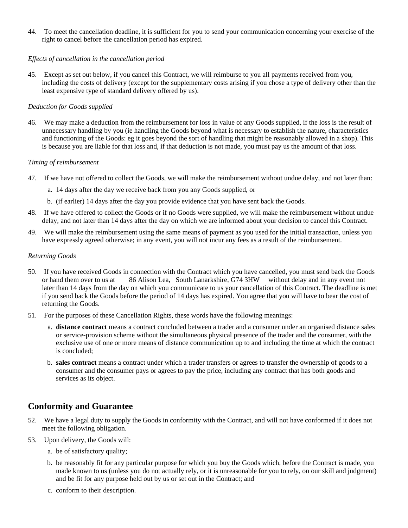44. To meet the cancellation deadline, it is sufficient for you to send your communication concerning your exercise of the right to cancel before the cancellation period has expired.

#### *Effects of cancellation in the cancellation period*

45. Except as set out below, if you cancel this Contract, we will reimburse to you all payments received from you, including the costs of delivery (except for the supplementary costs arising if you chose a type of delivery other than the least expensive type of standard delivery offered by us).

#### *Deduction for Goods supplied*

46. We may make a deduction from the reimbursement for loss in value of any Goods supplied, if the loss is the result of unnecessary handling by you (ie handling the Goods beyond what is necessary to establish the nature, characteristics and functioning of the Goods: eg it goes beyond the sort of handling that might be reasonably allowed in a shop). This is because you are liable for that loss and, if that deduction is not made, you must pay us the amount of that loss.

#### *Timing of reimbursement*

- 47. If we have not offered to collect the Goods, we will make the reimbursement without undue delay, and not later than:
	- a. 14 days after the day we receive back from you any Goods supplied, or
	- b. (if earlier) 14 days after the day you provide evidence that you have sent back the Goods.
- 48. If we have offered to collect the Goods or if no Goods were supplied, we will make the reimbursement without undue delay, and not later than 14 days after the day on which we are informed about your decision to cancel this Contract.
- 49. We will make the reimbursement using the same means of payment as you used for the initial transaction, unless you have expressly agreed otherwise; in any event, you will not incur any fees as a result of the reimbursement.

#### *Returning Goods*

- 50. If you have received Goods in connection with the Contract which you have cancelled, you must send back the Goods or hand them over to us at 86 Alison Lea, South Lanarkshire, G74 3HW without delay and in any event not later than 14 days from the day on which you communicate to us your cancellation of this Contract. The deadline is met if you send back the Goods before the period of 14 days has expired. You agree that you will have to bear the cost of returning the Goods.
- 51. For the purposes of these Cancellation Rights, these words have the following meanings:
	- a. **distance contract** means a contract concluded between a trader and a consumer under an organised distance sales or service-provision scheme without the simultaneous physical presence of the trader and the consumer, with the exclusive use of one or more means of distance communication up to and including the time at which the contract is concluded;
	- b. **sales contract** means a contract under which a trader transfers or agrees to transfer the ownership of goods to a consumer and the consumer pays or agrees to pay the price, including any contract that has both goods and services as its object.

# **Conformity and Guarantee**

- 52. We have a legal duty to supply the Goods in conformity with the Contract, and will not have conformed if it does not meet the following obligation.
- 53. Upon delivery, the Goods will:
	- a. be of satisfactory quality;
	- b. be reasonably fit for any particular purpose for which you buy the Goods which, before the Contract is made, you made known to us (unless you do not actually rely, or it is unreasonable for you to rely, on our skill and judgment) and be fit for any purpose held out by us or set out in the Contract; and
	- c. conform to their description.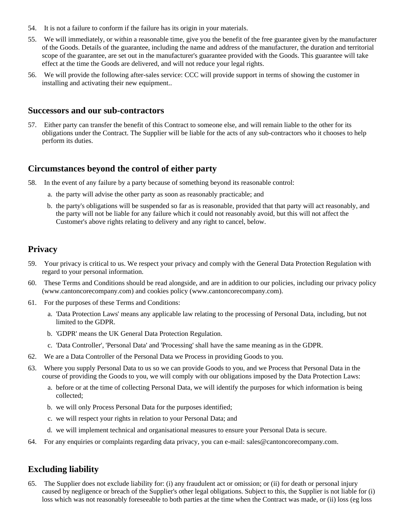- 54. It is not a failure to conform if the failure has its origin in your materials.
- 55. We will immediately, or within a reasonable time, give you the benefit of the free guarantee given by the manufacturer of the Goods. Details of the guarantee, including the name and address of the manufacturer, the duration and territorial scope of the guarantee, are set out in the manufacturer's guarantee provided with the Goods. This guarantee will take effect at the time the Goods are delivered, and will not reduce your legal rights.
- 56. We will provide the following after-sales service: CCC will provide support in terms of showing the customer in installing and activating their new equipment..

### **Successors and our sub-contractors**

57. Either party can transfer the benefit of this Contract to someone else, and will remain liable to the other for its obligations under the Contract. The Supplier will be liable for the acts of any sub-contractors who it chooses to help perform its duties.

### **Circumstances beyond the control of either party**

- 58. In the event of any failure by a party because of something beyond its reasonable control:
	- a. the party will advise the other party as soon as reasonably practicable; and
	- b. the party's obligations will be suspended so far as is reasonable, provided that that party will act reasonably, and the party will not be liable for any failure which it could not reasonably avoid, but this will not affect the Customer's above rights relating to delivery and any right to cancel, below.

### **Privacy**

- 59. Your privacy is critical to us. We respect your privacy and comply with the General Data Protection Regulation with regard to your personal information.
- 60. These Terms and Conditions should be read alongside, and are in addition to our policies, including our privacy policy (www.cantoncorecompany.com) and cookies policy (www.cantoncorecompany.com).
- 61. For the purposes of these Terms and Conditions:
	- a. 'Data Protection Laws' means any applicable law relating to the processing of Personal Data, including, but not limited to the GDPR.
	- b. 'GDPR' means the UK General Data Protection Regulation.
	- c. 'Data Controller', 'Personal Data' and 'Processing' shall have the same meaning as in the GDPR.
- 62. We are a Data Controller of the Personal Data we Process in providing Goods to you.
- 63. Where you supply Personal Data to us so we can provide Goods to you, and we Process that Personal Data in the course of providing the Goods to you, we will comply with our obligations imposed by the Data Protection Laws:
	- a. before or at the time of collecting Personal Data, we will identify the purposes for which information is being collected;
	- b. we will only Process Personal Data for the purposes identified;
	- c. we will respect your rights in relation to your Personal Data; and
	- d. we will implement technical and organisational measures to ensure your Personal Data is secure.
- 64. For any enquiries or complaints regarding data privacy, you can e-mail: sales@cantoncorecompany.com.

### **Excluding liability**

65. The Supplier does not exclude liability for: (i) any fraudulent act or omission; or (ii) for death or personal injury caused by negligence or breach of the Supplier's other legal obligations. Subject to this, the Supplier is not liable for (i) loss which was not reasonably foreseeable to both parties at the time when the Contract was made, or (ii) loss (eg loss